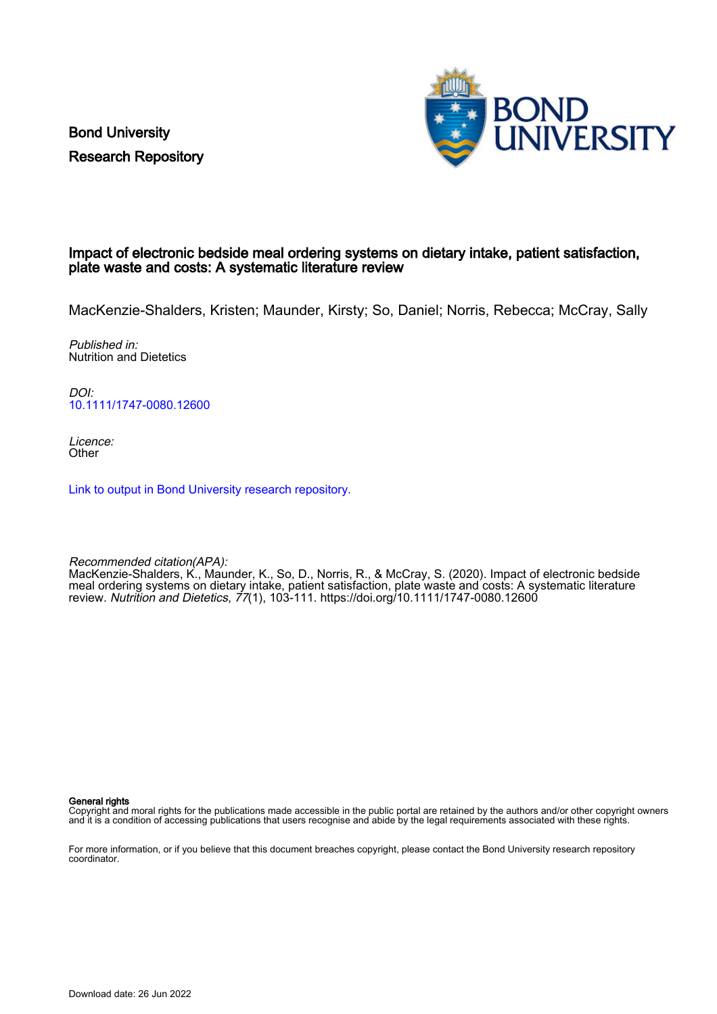Bond University Research Repository



#### Impact of electronic bedside meal ordering systems on dietary intake, patient satisfaction, plate waste and costs: A systematic literature review

MacKenzie-Shalders, Kristen; Maunder, Kirsty; So, Daniel; Norris, Rebecca; McCray, Sally

Published in: Nutrition and Dietetics

DOI: [10.1111/1747-0080.12600](https://doi.org/10.1111/1747-0080.12600)

Licence: **Other** 

[Link to output in Bond University research repository.](https://research.bond.edu.au/en/publications/27ad460a-d921-4b51-8276-6b2a2d0a2208)

Recommended citation(APA):

MacKenzie-Shalders, K., Maunder, K., So, D., Norris, R., & McCray, S. (2020). Impact of electronic bedside meal ordering systems on dietary intake, patient satisfaction, plate waste and costs: A systematic literature review. Nutrition and Dietetics, 77(1), 103-111. <https://doi.org/10.1111/1747-0080.12600>

General rights

Copyright and moral rights for the publications made accessible in the public portal are retained by the authors and/or other copyright owners and it is a condition of accessing publications that users recognise and abide by the legal requirements associated with these rights.

For more information, or if you believe that this document breaches copyright, please contact the Bond University research repository coordinator.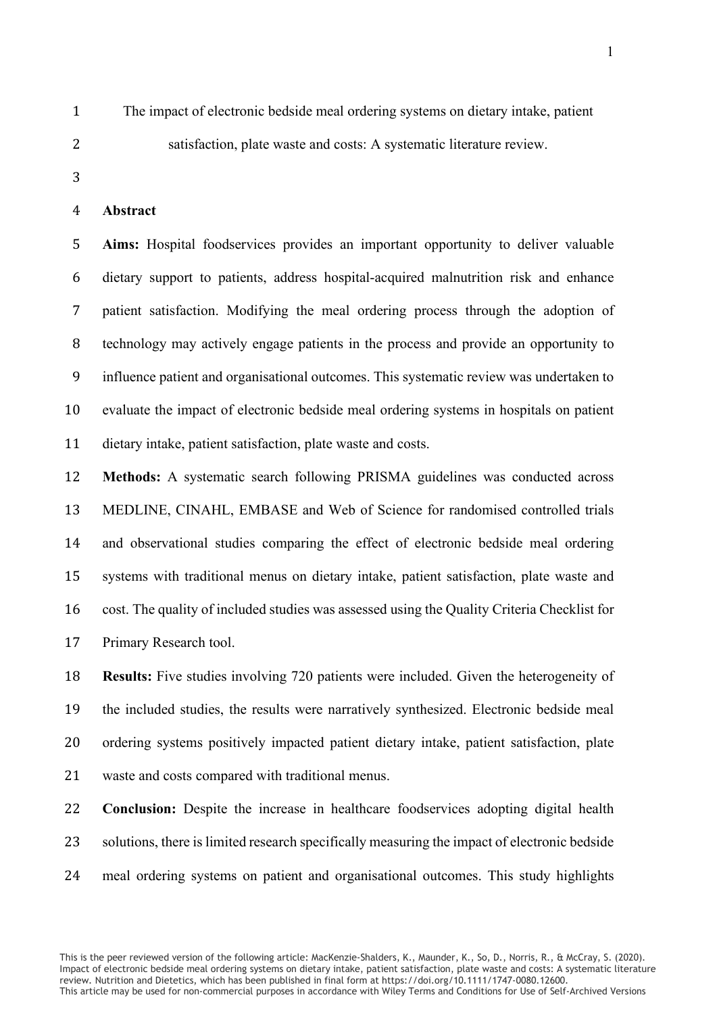The impact of electronic bedside meal ordering systems on dietary intake, patient satisfaction, plate waste and costs: A systematic literature review.

#### **Abstract**

 **Aims:** Hospital foodservices provides an important opportunity to deliver valuable dietary support to patients, address hospital-acquired malnutrition risk and enhance patient satisfaction. Modifying the meal ordering process through the adoption of technology may actively engage patients in the process and provide an opportunity to influence patient and organisational outcomes. This systematic review was undertaken to evaluate the impact of electronic bedside meal ordering systems in hospitals on patient dietary intake, patient satisfaction, plate waste and costs.

 **Methods:** A systematic search following PRISMA guidelines was conducted across MEDLINE, CINAHL, EMBASE and Web of Science for randomised controlled trials and observational studies comparing the effect of electronic bedside meal ordering systems with traditional menus on dietary intake, patient satisfaction, plate waste and cost. The quality of included studies was assessed using the Quality Criteria Checklist for Primary Research tool.

 **Results:** Five studies involving 720 patients were included. Given the heterogeneity of the included studies, the results were narratively synthesized. Electronic bedside meal ordering systems positively impacted patient dietary intake, patient satisfaction, plate waste and costs compared with traditional menus.

 **Conclusion:** Despite the increase in healthcare foodservices adopting digital health solutions, there is limited research specifically measuring the impact of electronic bedside meal ordering systems on patient and organisational outcomes. This study highlights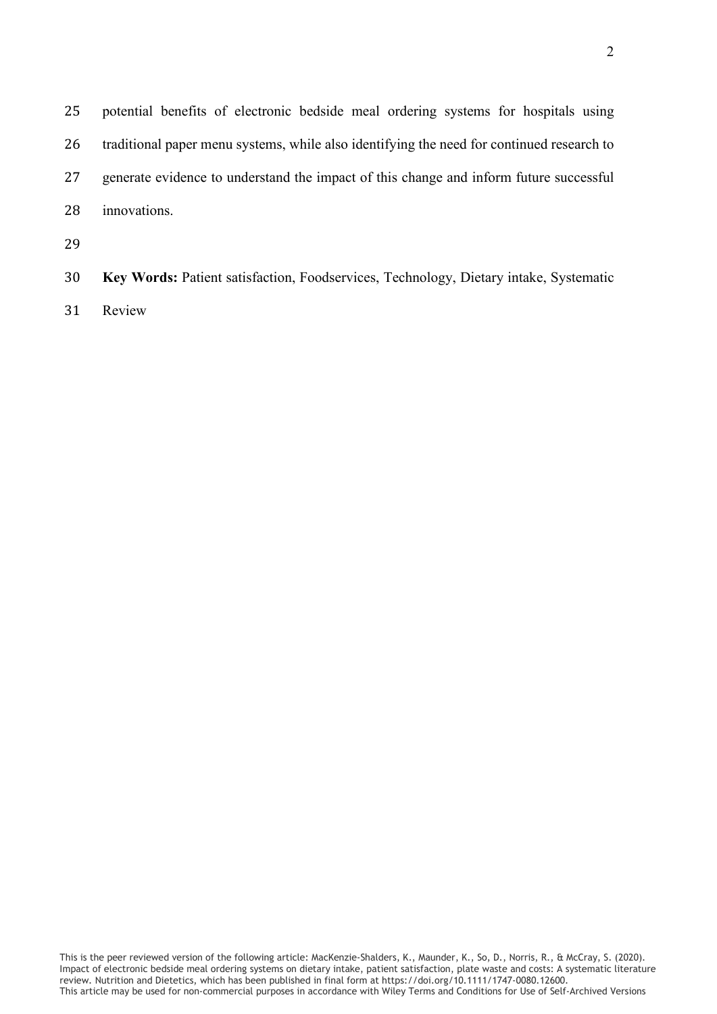| 25 | potential benefits of electronic bedside meal ordering systems for hospitals using        |
|----|-------------------------------------------------------------------------------------------|
| 26 | traditional paper menu systems, while also identifying the need for continued research to |
| 27 | generate evidence to understand the impact of this change and inform future successful    |
| 28 | innovations.                                                                              |
| 29 |                                                                                           |
|    |                                                                                           |

 **Key Words:** Patient satisfaction, Foodservices, Technology, Dietary intake, Systematic Review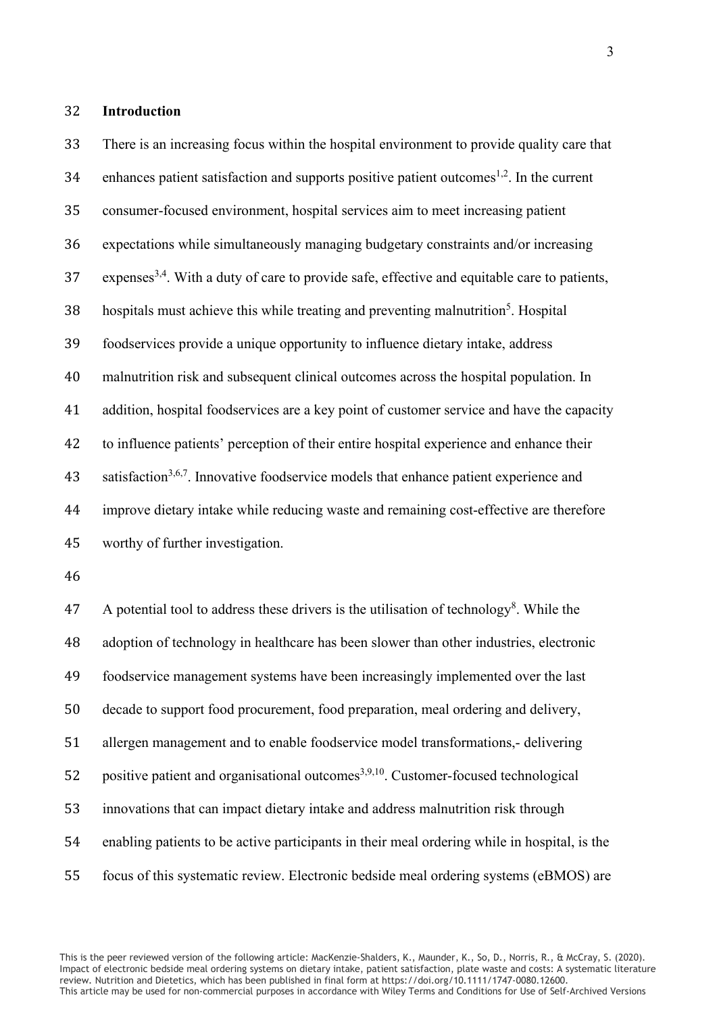#### **Introduction**

 There is an increasing focus within the hospital environment to provide quality care that enhances patient satisfaction and supports positive patient outcomes<sup>1,2</sup>. In the current consumer-focused environment, hospital services aim to meet increasing patient expectations while simultaneously managing budgetary constraints and/or increasing expenses<sup>3,4</sup>. With a duty of care to provide safe, effective and equitable care to patients, hospitals must achieve this while treating and preventing malnutrition<sup>5</sup>. Hospital foodservices provide a unique opportunity to influence dietary intake, address malnutrition risk and subsequent clinical outcomes across the hospital population. In addition, hospital foodservices are a key point of customer service and have the capacity to influence patients' perception of their entire hospital experience and enhance their 43 satisfaction<sup>3,6,7</sup>. Innovative foodservice models that enhance patient experience and improve dietary intake while reducing waste and remaining cost-effective are therefore worthy of further investigation.

47 A potential tool to address these drivers is the utilisation of technology<sup>8</sup>. While the adoption of technology in healthcare has been slower than other industries, electronic foodservice management systems have been increasingly implemented over the last decade to support food procurement, food preparation, meal ordering and delivery, allergen management and to enable foodservice model transformations,- delivering 52 positive patient and organisational outcomes<sup>3,9,10</sup>. Customer-focused technological innovations that can impact dietary intake and address malnutrition risk through enabling patients to be active participants in their meal ordering while in hospital, is the focus of this systematic review. Electronic bedside meal ordering systems (eBMOS) are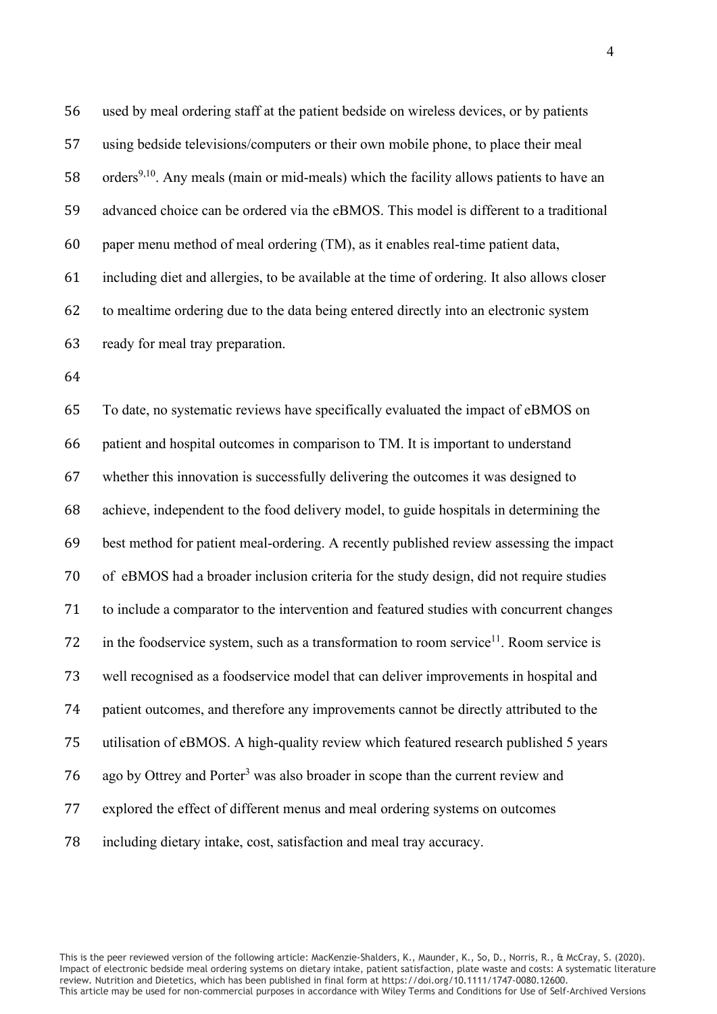used by meal ordering staff at the patient bedside on wireless devices, or by patients using bedside televisions/computers or their own mobile phone, to place their meal 58 . orders<sup>9,10</sup>. Any meals (main or mid-meals) which the facility allows patients to have an advanced choice can be ordered via the eBMOS. This model is different to a traditional paper menu method of meal ordering (TM), as it enables real-time patient data, including diet and allergies, to be available at the time of ordering. It also allows closer to mealtime ordering due to the data being entered directly into an electronic system ready for meal tray preparation. 

 To date, no systematic reviews have specifically evaluated the impact of eBMOS on patient and hospital outcomes in comparison to TM. It is important to understand whether this innovation is successfully delivering the outcomes it was designed to achieve, independent to the food delivery model, to guide hospitals in determining the best method for patient meal-ordering. A recently published review assessing the impact of eBMOS had a broader inclusion criteria for the study design, did not require studies to include a comparator to the intervention and featured studies with concurrent changes 72 in the foodservice system, such as a transformation to room service<sup>11</sup>. Room service is well recognised as a foodservice model that can deliver improvements in hospital and patient outcomes, and therefore any improvements cannot be directly attributed to the utilisation of eBMOS. A high-quality review which featured research published 5 years 76 ago by Ottrey and Porter<sup>3</sup> was also broader in scope than the current review and explored the effect of different menus and meal ordering systems on outcomes including dietary intake, cost, satisfaction and meal tray accuracy.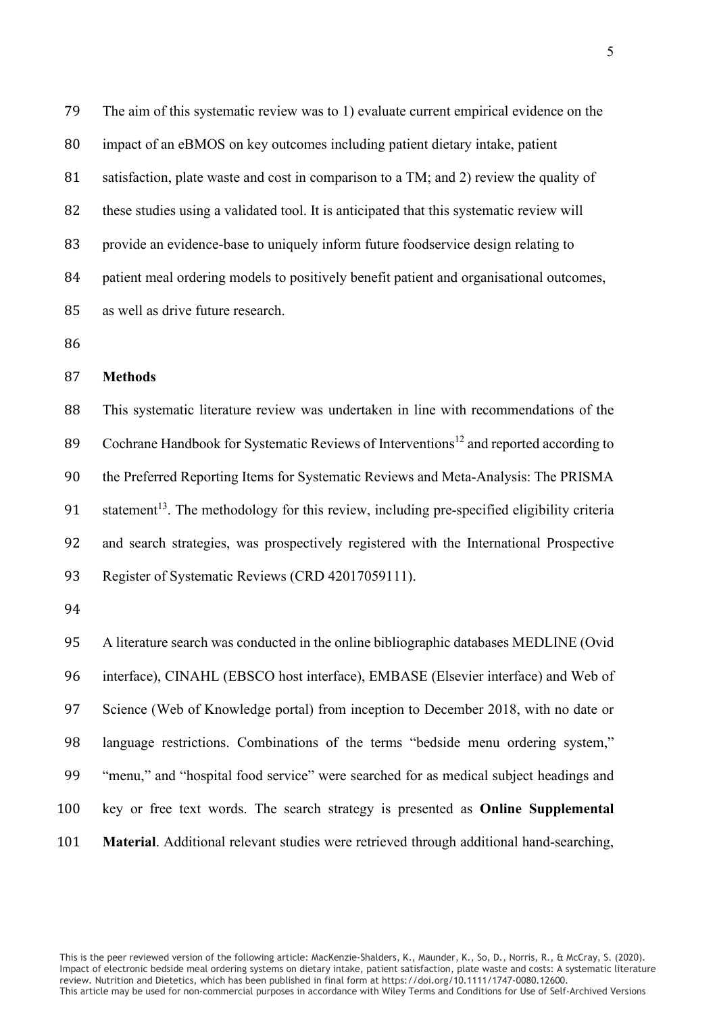The aim of this systematic review was to 1) evaluate current empirical evidence on the impact of an eBMOS on key outcomes including patient dietary intake, patient 81 satisfaction, plate waste and cost in comparison to a TM; and 2) review the quality of 82 these studies using a validated tool. It is anticipated that this systematic review will provide an evidence-base to uniquely inform future foodservice design relating to patient meal ordering models to positively benefit patient and organisational outcomes, as well as drive future research.

#### **Methods**

 This systematic literature review was undertaken in line with recommendations of the 89 Cochrane Handbook for Systematic Reviews of Interventions<sup>12</sup> and reported according to the Preferred Reporting Items for Systematic Reviews and Meta-Analysis: The PRISMA 91 statement<sup>13</sup>. The methodology for this review, including pre-specified eligibility criteria and search strategies, was prospectively registered with the International Prospective Register of Systematic Reviews (CRD 42017059111).

 A literature search was conducted in the online bibliographic databases MEDLINE (Ovid interface), CINAHL (EBSCO host interface), EMBASE (Elsevier interface) and Web of Science (Web of Knowledge portal) from inception to December 2018, with no date or language restrictions. Combinations of the terms "bedside menu ordering system," "menu," and "hospital food service" were searched for as medical subject headings and key or free text words. The search strategy is presented as **Online Supplemental Material**. Additional relevant studies were retrieved through additional hand-searching,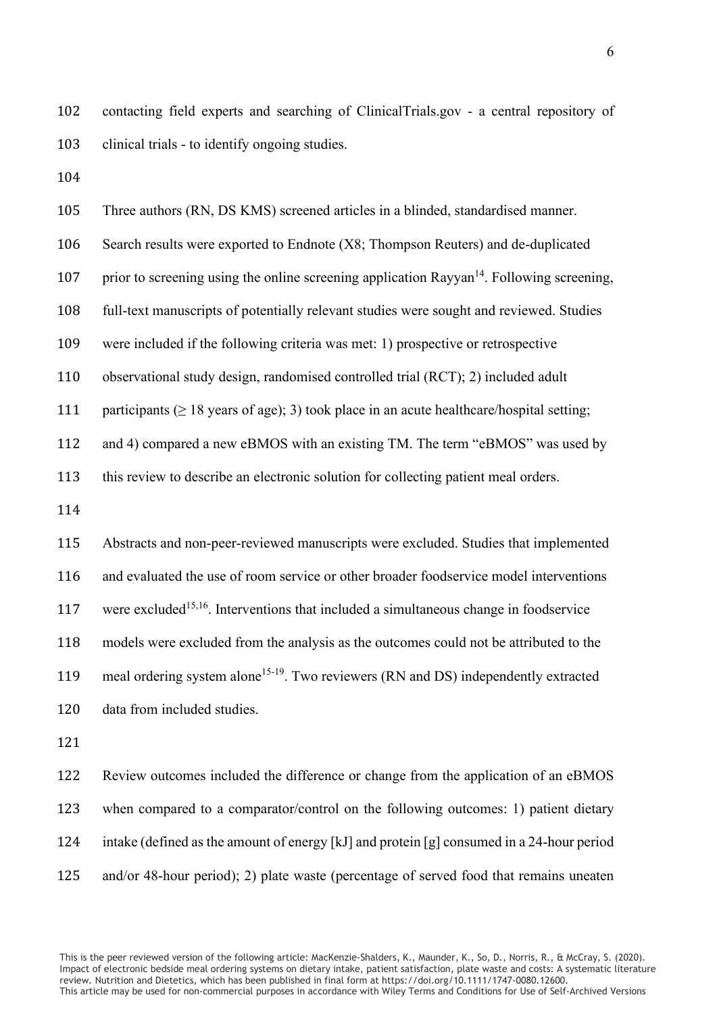contacting field experts and searching of ClinicalTrials.gov - a central repository of clinical trials - to identify ongoing studies.

 Three authors (RN, DS KMS) screened articles in a blinded, standardised manner. Search results were exported to Endnote (X8; Thompson Reuters) and de-duplicated 107 prior to screening using the online screening application Rayyan<sup>14</sup>. Following screening, full-text manuscripts of potentially relevant studies were sought and reviewed. Studies were included if the following criteria was met: 1) prospective or retrospective observational study design, randomised controlled trial (RCT); 2) included adult 111 participants ( $\geq 18$  years of age); 3) took place in an acute healthcare/hospital setting; and 4) compared a new eBMOS with an existing TM. The term "eBMOS" was used by this review to describe an electronic solution for collecting patient meal orders. Abstracts and non-peer-reviewed manuscripts were excluded. Studies that implemented and evaluated the use of room service or other broader foodservice model interventions 117 were excluded<sup>15,16</sup>. Interventions that included a simultaneous change in foodservice models were excluded from the analysis as the outcomes could not be attributed to the 119 meal ordering system alone<sup>15-19</sup>. Two reviewers (RN and DS) independently extracted data from included studies. Review outcomes included the difference or change from the application of an eBMOS when compared to a comparator/control on the following outcomes: 1) patient dietary

and/or 48-hour period); 2) plate waste (percentage of served food that remains uneaten

intake (defined as the amount of energy [kJ] and protein [g] consumed in a 24-hour period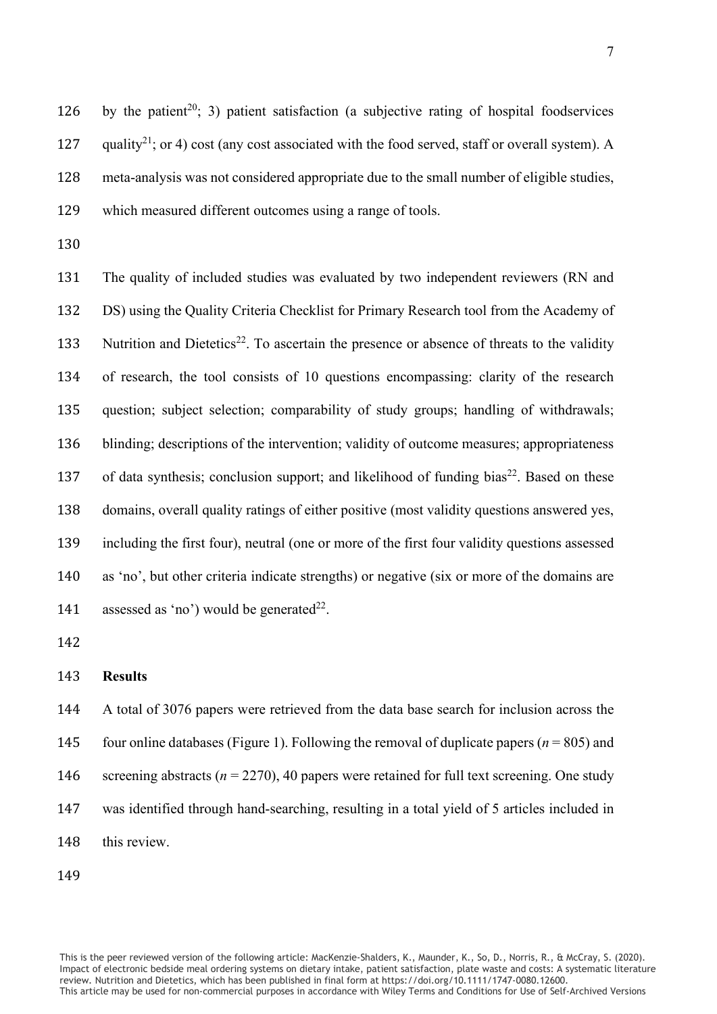126 by the patient<sup>20</sup>; 3) patient satisfaction (a subjective rating of hospital foodservices 127 quality<sup>21</sup>; or 4) cost (any cost associated with the food served, staff or overall system). A meta-analysis was not considered appropriate due to the small number of eligible studies, which measured different outcomes using a range of tools.

 The quality of included studies was evaluated by two independent reviewers (RN and DS) using the Quality Criteria Checklist for Primary Research tool from the Academy of 133 Nutrition and Dietetics<sup>22</sup>. To ascertain the presence or absence of threats to the validity of research, the tool consists of 10 questions encompassing: clarity of the research question; subject selection; comparability of study groups; handling of withdrawals; blinding; descriptions of the intervention; validity of outcome measures; appropriateness 137 of data synthesis; conclusion support; and likelihood of funding bias<sup>22</sup>. Based on these domains, overall quality ratings of either positive (most validity questions answered yes, including the first four), neutral (one or more of the first four validity questions assessed as 'no', but other criteria indicate strengths) or negative (six or more of the domains are 141 assessed as 'no') would be generated<sup>22</sup>.

#### **Results**

 A total of 3076 papers were retrieved from the data base search for inclusion across the 145 four online databases (Figure 1). Following the removal of duplicate papers ( $n = 805$ ) and 146 screening abstracts ( $n = 2270$ ), 40 papers were retained for full text screening. One study was identified through hand-searching, resulting in a total yield of 5 articles included in this review.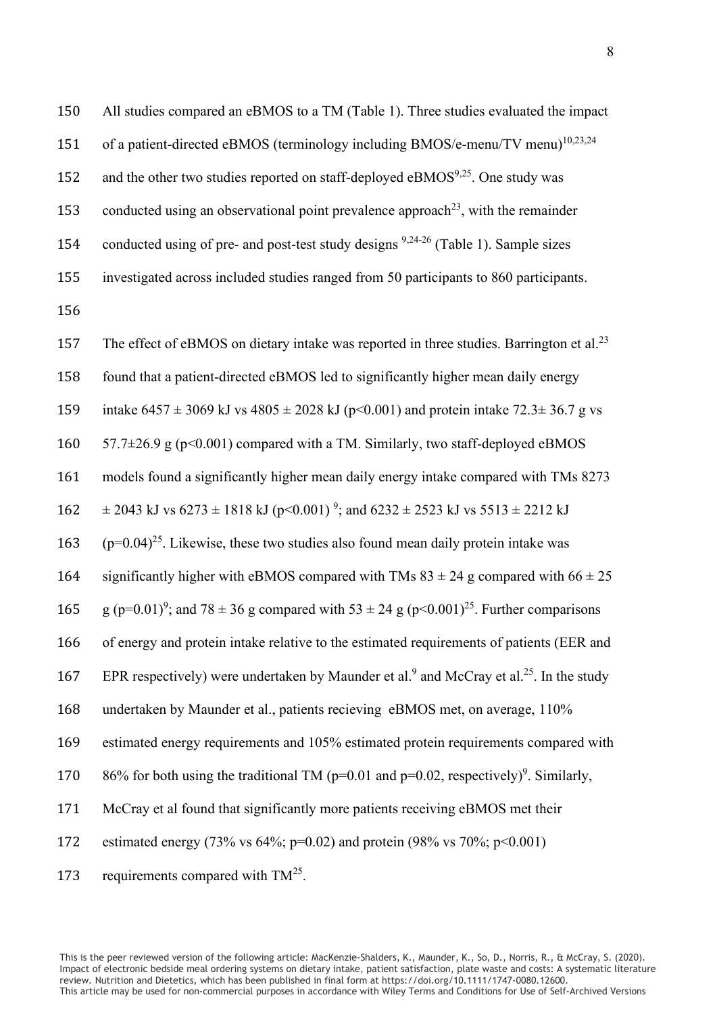150 All studies compared an eBMOS to a TM (Table 1). Three studies evaluated the impact 151 of a patient-directed eBMOS (terminology including BMOS/e-menu/TV menu)<sup>10,23,24</sup> 152 and the other two studies reported on staff-deployed eBMOS $9,25$ . One study was 153 conducted using an observational point prevalence approach<sup>23</sup>, with the remainder 154 conducted using of pre- and post-test study designs  $9,24-26$  (Table 1). Sample sizes 155 investigated across included studies ranged from 50 participants to 860 participants. 156 157 The effect of eBMOS on dietary intake was reported in three studies. Barrington et al.<sup>23</sup> 158 found that a patient-directed eBMOS led to significantly higher mean daily energy 159 intake  $6457 \pm 3069$  kJ vs  $4805 \pm 2028$  kJ (p<0.001) and protein intake  $72.3 \pm 36.7$  g vs 160  $57.7\pm26.9$  g (p<0.001) compared with a TM. Similarly, two staff-deployed eBMOS 161 models found a significantly higher mean daily energy intake compared with TMs 8273  $\pm 2043$  kJ vs  $6273 \pm 1818$  kJ (p < 0.001)<sup>9</sup>; and  $6232 \pm 2523$  kJ vs  $5513 \pm 2212$  kJ 163  $(p=0.04)^{25}$ . Likewise, these two studies also found mean daily protein intake was 164 significantly higher with eBMOS compared with TMs  $83 \pm 24$  g compared with  $66 \pm 25$ 165 g (p=0.01)<sup>9</sup>; and 78 ± 36 g compared with 53 ± 24 g (p<0.001)<sup>25</sup>. Further comparisons 166 of energy and protein intake relative to the estimated requirements of patients (EER and 167 EPR respectively) were undertaken by Maunder et al.<sup>9</sup> and McCray et al.<sup>25</sup>. In the study 168 undertaken by Maunder et al., patients recieving eBMOS met, on average, 110% 169 estimated energy requirements and 105% estimated protein requirements compared with 170 86% for both using the traditional TM ( $p=0.01$  and  $p=0.02$ , respectively)<sup>9</sup>. Similarly, 171 McCray et al found that significantly more patients receiving eBMOS met their 172 estimated energy (73% vs 64%; p=0.02) and protein (98% vs 70%; p<0.001) 173 requirements compared with  $TM^{25}$ .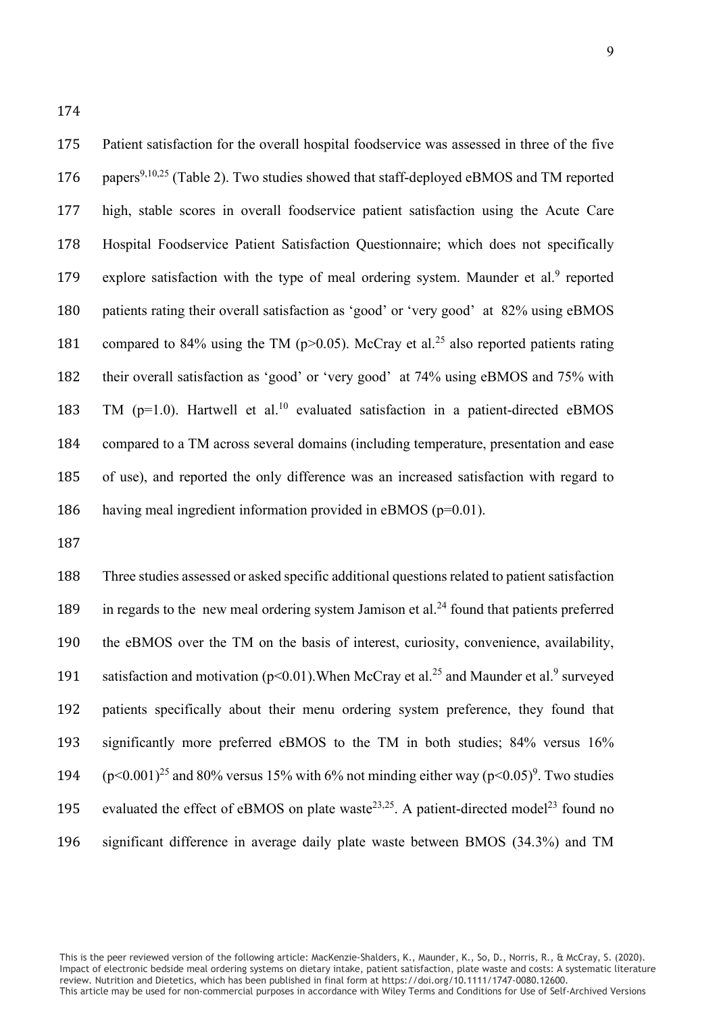175 Patient satisfaction for the overall hospital foodservice was assessed in three of the five 176 papers<sup>9,10,25</sup> (Table 2). Two studies showed that staff-deployed eBMOS and TM reported 177 high, stable scores in overall foodservice patient satisfaction using the Acute Care 178 Hospital Foodservice Patient Satisfaction Questionnaire; which does not specifically 179 explore satisfaction with the type of meal ordering system. Maunder et al.<sup>9</sup> reported 180 patients rating their overall satisfaction as 'good' or 'very good' at 82% using eBMOS 181 compared to 84% using the TM ( $p > 0.05$ ). McCray et al.<sup>25</sup> also reported patients rating 182 their overall satisfaction as 'good' or 'very good' at 74% using eBMOS and 75% with 183 TM ( $p=1.0$ ). Hartwell et al.<sup>10</sup> evaluated satisfaction in a patient-directed eBMOS 184 compared to a TM across several domains (including temperature, presentation and ease 185 of use), and reported the only difference was an increased satisfaction with regard to

186 having meal ingredient information provided in eBMOS (p=0.01).

187

 Three studies assessed or asked specific additional questions related to patient satisfaction 189 in regards to the new meal ordering system Jamison et al. $^{24}$  found that patients preferred the eBMOS over the TM on the basis of interest, curiosity, convenience, availability, 191 satisfaction and motivation ( $p<0.01$ ). When McCray et al.<sup>25</sup> and Maunder et al.<sup>9</sup> surveyed patients specifically about their menu ordering system preference, they found that significantly more preferred eBMOS to the TM in both studies; 84% versus 16%  $(p<0.001)^{25}$  and 80% versus 15% with 6% not minding either way ( $p<0.05$ )<sup>9</sup>. Two studies 195 evaluated the effect of eBMOS on plate waste<sup>23,25</sup>. A patient-directed model<sup>23</sup> found no significant difference in average daily plate waste between BMOS (34.3%) and TM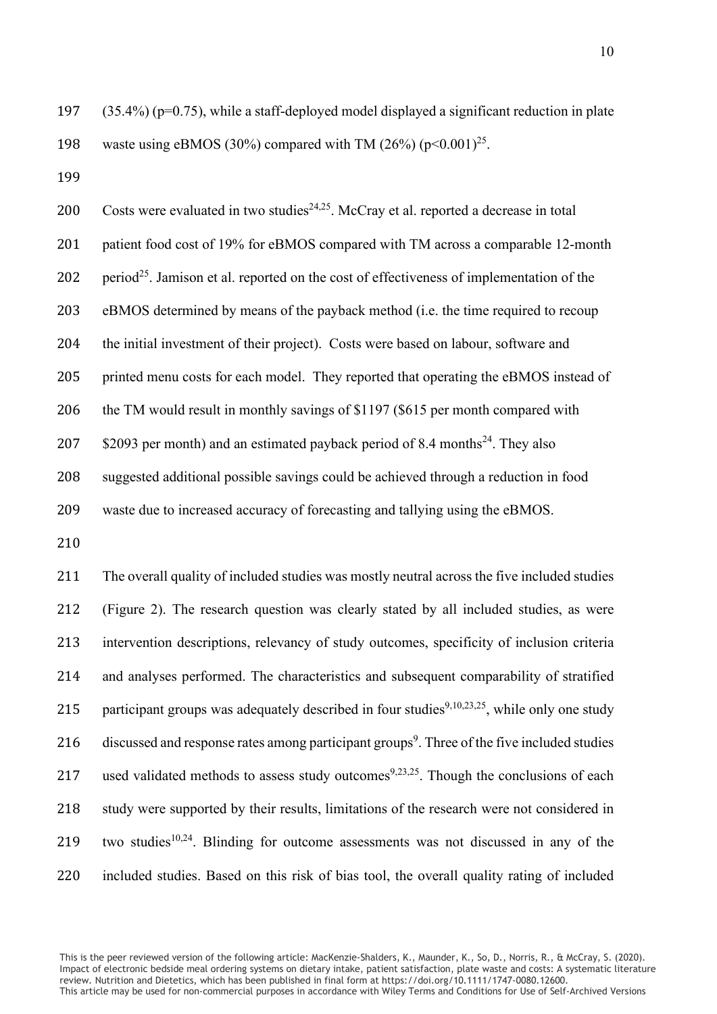197 (35.4%) (p=0.75), while a staff-deployed model displayed a significant reduction in plate 198 waste using eBMOS (30%) compared with TM (26%)  $(p<0.001)^{25}$ .

199

200 Costs were evaluated in two studies<sup>24,25</sup>. McCray et al. reported a decrease in total 201 patient food cost of 19% for eBMOS compared with TM across a comparable 12-month 202 period<sup>25</sup>. Jamison et al. reported on the cost of effectiveness of implementation of the 203 eBMOS determined by means of the payback method (i.e. the time required to recoup 204 the initial investment of their project). Costs were based on labour, software and 205 printed menu costs for each model. They reported that operating the eBMOS instead of 206 the TM would result in monthly savings of \$1197 (\$615 per month compared with 207  $\,$  \$2093 per month) and an estimated payback period of 8.4 months<sup>24</sup>. They also 208 suggested additional possible savings could be achieved through a reduction in food 209 waste due to increased accuracy of forecasting and tallying using the eBMOS.

210

211 The overall quality of included studies was mostly neutral across the five included studies 212 (Figure 2). The research question was clearly stated by all included studies, as were 213 intervention descriptions, relevancy of study outcomes, specificity of inclusion criteria 214 and analyses performed. The characteristics and subsequent comparability of stratified 215 participant groups was adequately described in four studies<sup>9,10,23,25</sup>, while only one study 216 discussed and response rates among participant groups<sup>9</sup>. Three of the five included studies 217 used validated methods to assess study outcomes<sup>9,23,25</sup>. Though the conclusions of each 218 study were supported by their results, limitations of the research were not considered in 219 two studies<sup>10,24</sup>. Blinding for outcome assessments was not discussed in any of the 220 included studies. Based on this risk of bias tool, the overall quality rating of included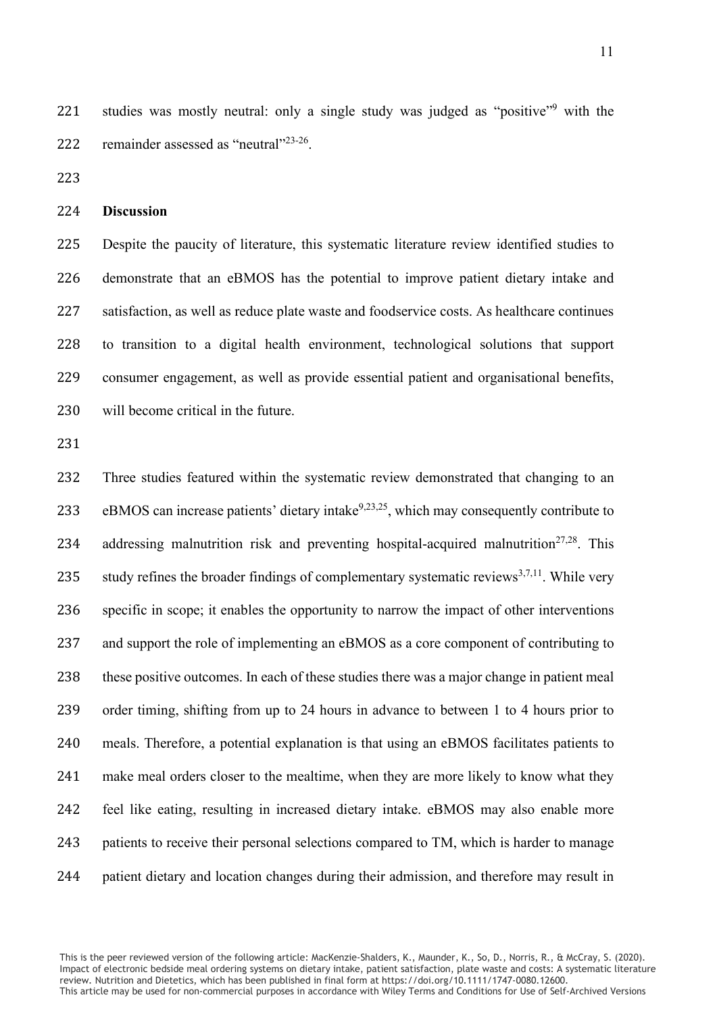221 studies was mostly neutral: only a single study was judged as "positive"<sup>9</sup> with the 222 remainder assessed as "neutral" $2^{23-26}$ .

#### **Discussion**

 Despite the paucity of literature, this systematic literature review identified studies to demonstrate that an eBMOS has the potential to improve patient dietary intake and satisfaction, as well as reduce plate waste and foodservice costs. As healthcare continues to transition to a digital health environment, technological solutions that support consumer engagement, as well as provide essential patient and organisational benefits, will become critical in the future.

 Three studies featured within the systematic review demonstrated that changing to an 233 eBMOS can increase patients' dietary intake  $9,23,25$ , which may consequently contribute to 234 addressing malnutrition risk and preventing hospital-acquired malnutrition<sup>27,28</sup>. This 235 study refines the broader findings of complementary systematic reviews<sup>3,7,11</sup>. While very specific in scope; it enables the opportunity to narrow the impact of other interventions and support the role of implementing an eBMOS as a core component of contributing to these positive outcomes. In each of these studies there was a major change in patient meal order timing, shifting from up to 24 hours in advance to between 1 to 4 hours prior to meals. Therefore, a potential explanation is that using an eBMOS facilitates patients to make meal orders closer to the mealtime, when they are more likely to know what they feel like eating, resulting in increased dietary intake. eBMOS may also enable more 243 patients to receive their personal selections compared to TM, which is harder to manage patient dietary and location changes during their admission, and therefore may result in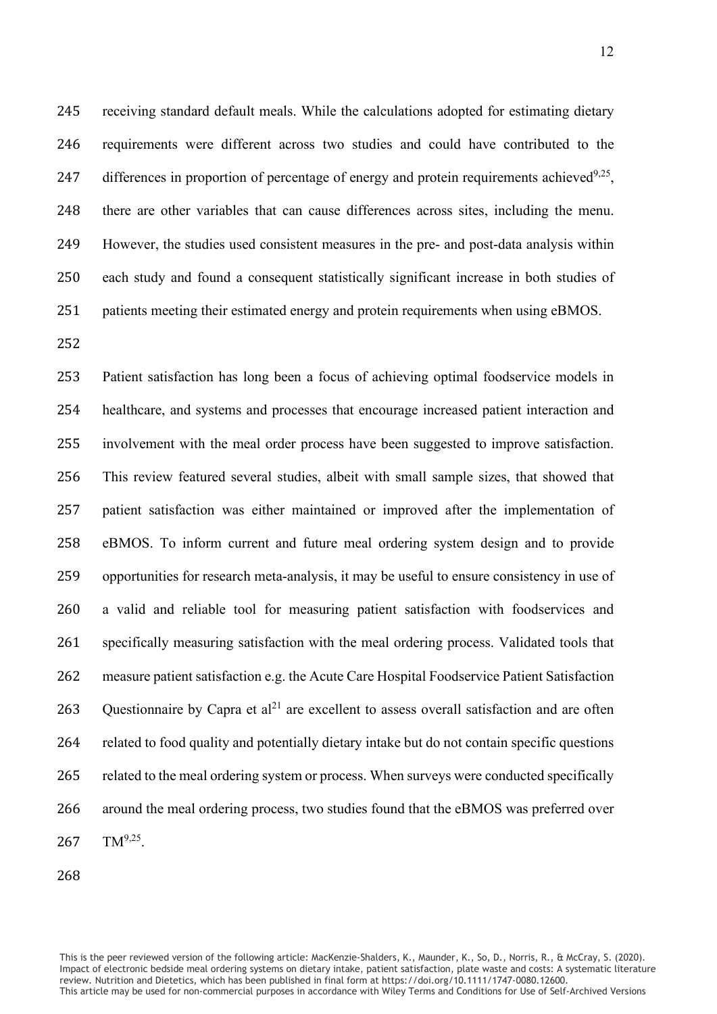receiving standard default meals. While the calculations adopted for estimating dietary requirements were different across two studies and could have contributed to the 247 differences in proportion of percentage of energy and protein requirements achieved<sup>9,25</sup>, there are other variables that can cause differences across sites, including the menu. However, the studies used consistent measures in the pre- and post-data analysis within each study and found a consequent statistically significant increase in both studies of patients meeting their estimated energy and protein requirements when using eBMOS.

 Patient satisfaction has long been a focus of achieving optimal foodservice models in healthcare, and systems and processes that encourage increased patient interaction and involvement with the meal order process have been suggested to improve satisfaction. This review featured several studies, albeit with small sample sizes, that showed that patient satisfaction was either maintained or improved after the implementation of eBMOS. To inform current and future meal ordering system design and to provide opportunities for research meta-analysis, it may be useful to ensure consistency in use of a valid and reliable tool for measuring patient satisfaction with foodservices and specifically measuring satisfaction with the meal ordering process. Validated tools that measure patient satisfaction e.g. the Acute Care Hospital Foodservice Patient Satisfaction 263 Questionnaire by Capra et  $al<sup>21</sup>$  are excellent to assess overall satisfaction and are often related to food quality and potentially dietary intake but do not contain specific questions 265 related to the meal ordering system or process. When surveys were conducted specifically around the meal ordering process, two studies found that the eBMOS was preferred over TM<sup>9,25</sup>.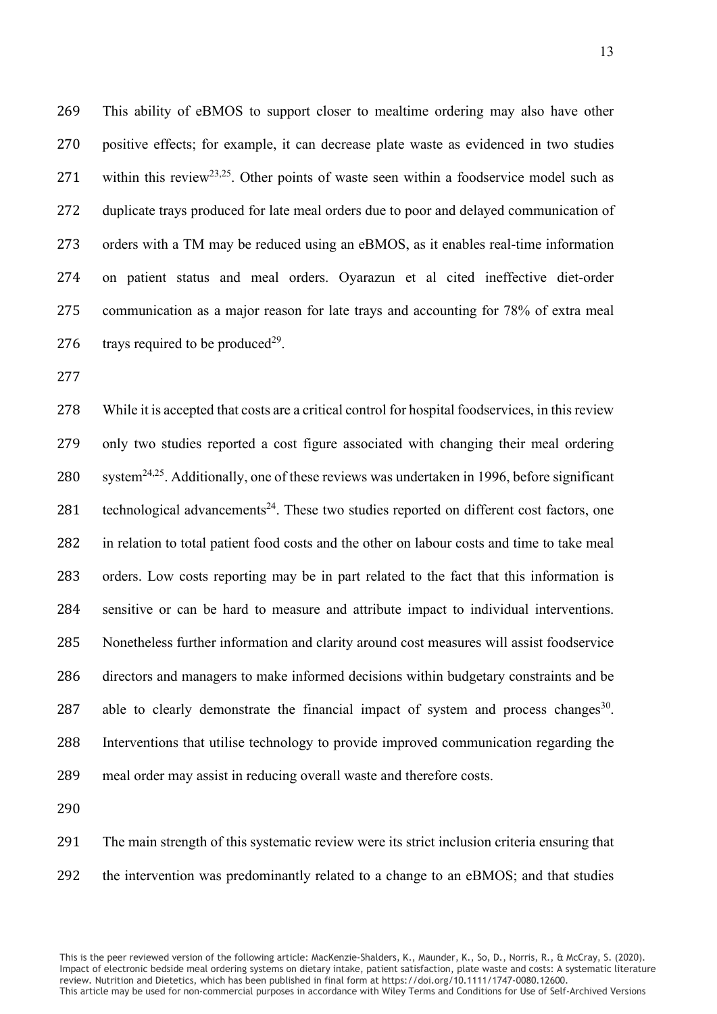This ability of eBMOS to support closer to mealtime ordering may also have other positive effects; for example, it can decrease plate waste as evidenced in two studies 271 within this review<sup>23,25</sup>. Other points of waste seen within a foodservice model such as duplicate trays produced for late meal orders due to poor and delayed communication of orders with a TM may be reduced using an eBMOS, as it enables real-time information on patient status and meal orders. Oyarazun et al cited ineffective diet-order communication as a major reason for late trays and accounting for 78% of extra meal 276 trays required to be produced<sup>29</sup>.

 While it is accepted that costs are a critical control for hospital foodservices, in this review only two studies reported a cost figure associated with changing their meal ordering 280 system<sup>24,25</sup>. Additionally, one of these reviews was undertaken in 1996, before significant 281 technological advancements<sup>24</sup>. These two studies reported on different cost factors, one in relation to total patient food costs and the other on labour costs and time to take meal orders. Low costs reporting may be in part related to the fact that this information is sensitive or can be hard to measure and attribute impact to individual interventions. Nonetheless further information and clarity around cost measures will assist foodservice directors and managers to make informed decisions within budgetary constraints and be 287 able to clearly demonstrate the financial impact of system and process changes<sup>30</sup>. Interventions that utilise technology to provide improved communication regarding the meal order may assist in reducing overall waste and therefore costs.

 The main strength of this systematic review were its strict inclusion criteria ensuring that the intervention was predominantly related to a change to an eBMOS; and that studies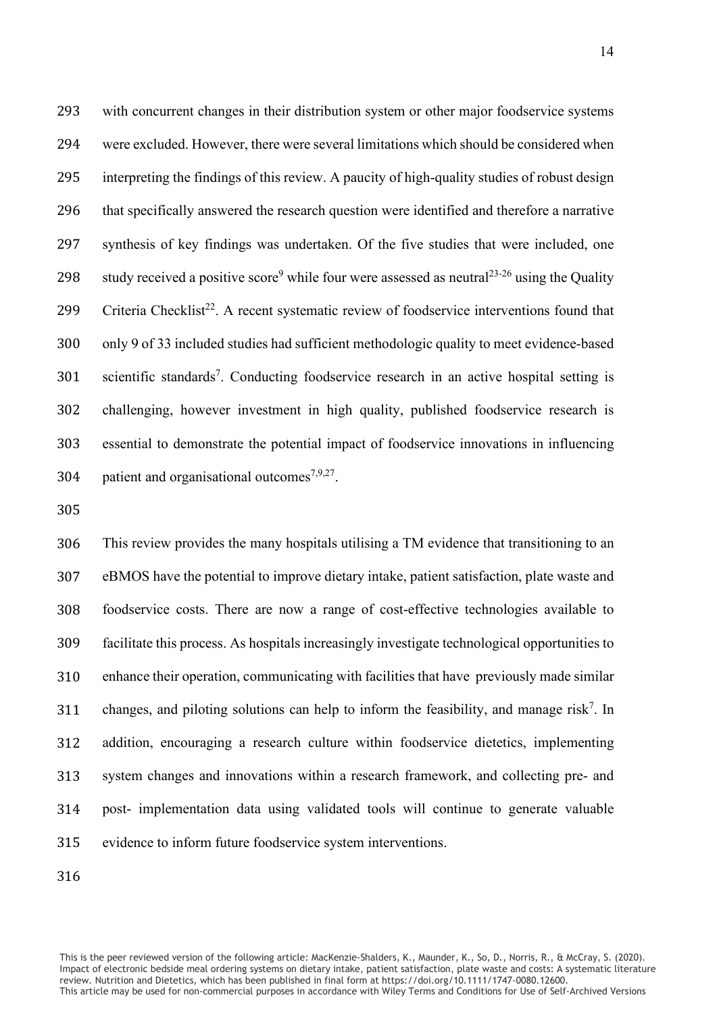with concurrent changes in their distribution system or other major foodservice systems were excluded. However, there were several limitations which should be considered when interpreting the findings of this review. A paucity of high-quality studies of robust design that specifically answered the research question were identified and therefore a narrative synthesis of key findings was undertaken. Of the five studies that were included, one 298 study received a positive score<sup>9</sup> while four were assessed as neutral<sup>23-26</sup> using the Quality 299 Criteria Checklist<sup>22</sup>. A recent systematic review of foodservice interventions found that only 9 of 33 included studies had sufficient methodologic quality to meet evidence-based scientific standards<sup>7</sup>. Conducting foodservice research in an active hospital setting is challenging, however investment in high quality, published foodservice research is essential to demonstrate the potential impact of foodservice innovations in influencing 304 . patient and organisational outcomes<sup>7,9,27</sup>.

 This review provides the many hospitals utilising a TM evidence that transitioning to an eBMOS have the potential to improve dietary intake, patient satisfaction, plate waste and foodservice costs. There are now a range of cost-effective technologies available to facilitate this process. As hospitals increasingly investigate technological opportunities to enhance their operation, communicating with facilities that have previously made similar 311 changes, and piloting solutions can help to inform the feasibility, and manage risk<sup>7</sup>. In addition, encouraging a research culture within foodservice dietetics, implementing system changes and innovations within a research framework, and collecting pre- and post- implementation data using validated tools will continue to generate valuable evidence to inform future foodservice system interventions.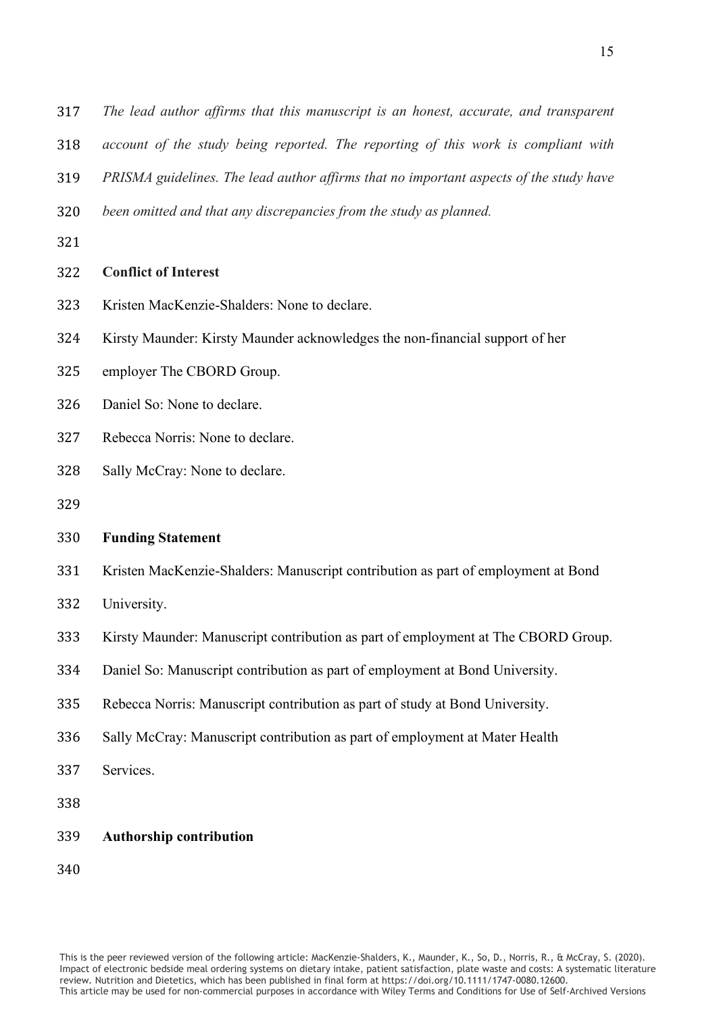*The lead author affirms that this manuscript is an honest, accurate, and transparent account of the study being reported. The reporting of this work is compliant with* 

*PRISMA guidelines. The lead author affirms that no important aspects of the study have* 

*been omitted and that any discrepancies from the study as planned.*

# **Conflict of Interest**

- Kristen MacKenzie-Shalders: None to declare.
- Kirsty Maunder: Kirsty Maunder acknowledges the non-financial support of her
- employer The CBORD Group.
- Daniel So: None to declare.
- Rebecca Norris: None to declare.
- Sally McCray: None to declare.
- 

# **Funding Statement**

- Kristen MacKenzie-Shalders: Manuscript contribution as part of employment at Bond
- University.
- Kirsty Maunder: Manuscript contribution as part of employment at The CBORD Group.
- Daniel So: Manuscript contribution as part of employment at Bond University.
- Rebecca Norris: Manuscript contribution as part of study at Bond University.
- Sally McCray: Manuscript contribution as part of employment at Mater Health
- Services.
- 
- **Authorship contribution**
-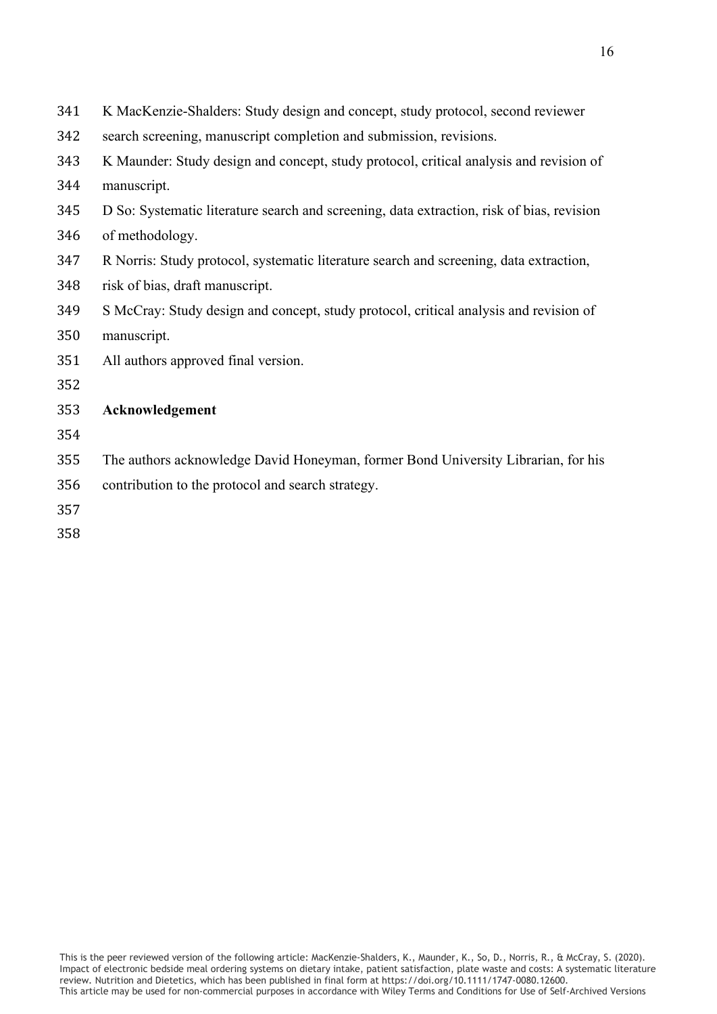| 341 | K MacKenzie-Shalders: Study design and concept, study protocol, second reviewer           |
|-----|-------------------------------------------------------------------------------------------|
| 342 | search screening, manuscript completion and submission, revisions.                        |
| 343 | K Maunder: Study design and concept, study protocol, critical analysis and revision of    |
| 344 | manuscript.                                                                               |
| 345 | D So: Systematic literature search and screening, data extraction, risk of bias, revision |
| 346 | of methodology.                                                                           |
| 347 | R Norris: Study protocol, systematic literature search and screening, data extraction,    |
| 348 | risk of bias, draft manuscript.                                                           |
| 349 | S McCray: Study design and concept, study protocol, critical analysis and revision of     |
| 350 | manuscript.                                                                               |
| 351 | All authors approved final version.                                                       |
| 352 |                                                                                           |
| 353 | Acknowledgement                                                                           |
| 354 |                                                                                           |
| 355 | The authors acknowledge David Honeyman, former Bond University Librarian, for his         |
| 356 | contribution to the protocol and search strategy.                                         |
| 357 |                                                                                           |
|     |                                                                                           |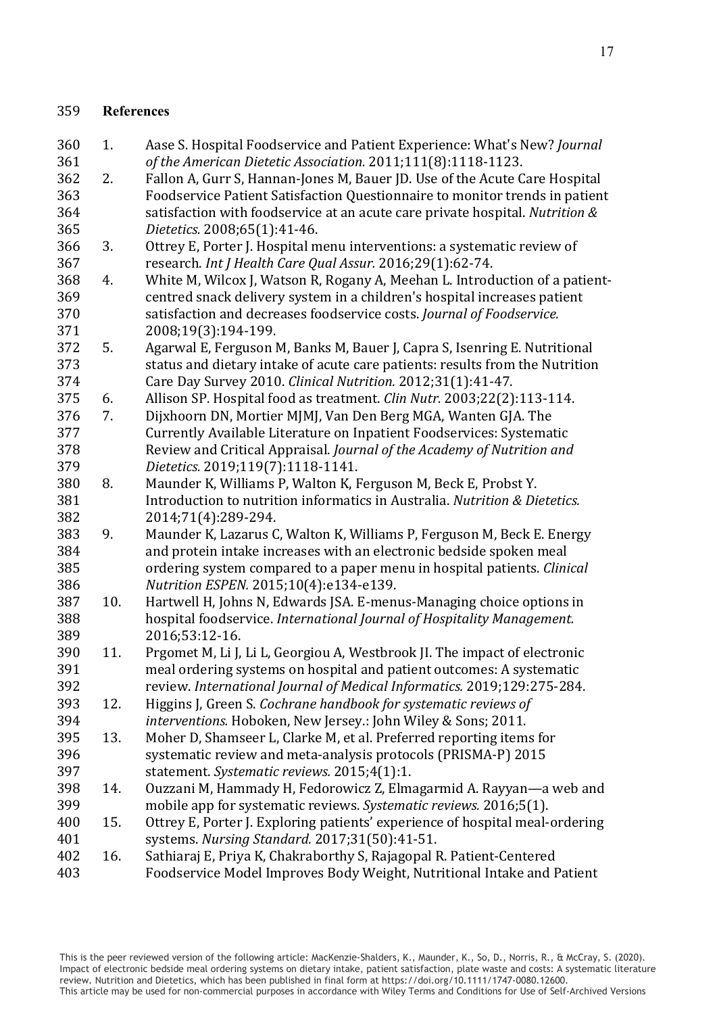# **References**

- 1. Aase S. Hospital Foodservice and Patient Experience: What's New? *Journal*
- *of the American Dietetic Association.* 2011;111(8):1118-1123. 2. Fallon A, Gurr S, Hannan-Jones M, Bauer JD. Use of the Acute Care Hospital 363 Foodservice Patient Satisfaction Questionnaire to monitor trends in patient<br>364 satisfaction with foodservice at an acute care private hospital. Nutrition & satisfaction with foodservice at an acute care private hospital. *Nutrition &*
- *Dietetics.* 2008;65(1):41-46. 366 3. Ottrey E, Porter J. Hospital menu interventions: a systematic review of research. *Int J Health Care Oual Assur.* 2016;29(1):62-74. research. *Int J Health Care Qual Assur.* 2016;29(1):62-74.
- 368 4. White M, Wilcox J, Watson R, Rogany A, Meehan L. Introduction of a patient-<br>369 centred snack delivery system in a children's hospital increases patient 369 centred snack delivery system in a children's hospital increases patient<br>370 satisfaction and decreases foodservice costs. *Iournal of Foodservice*. satisfaction and decreases foodservice costs. *Journal of Foodservice.*
- 2008;19(3):194-199. 5. Agarwal E, Ferguson M, Banks M, Bauer J, Capra S, Isenring E. Nutritional 373 status and dietary intake of acute care patients: results from the Nutrition<br>374 Care Day Survey 2010. *Clinical Nutrition*. 2012:31(1):41-47.
- Care Day Survey 2010. *Clinical Nutrition.* 2012;31(1):41-47.
- 6. Allison SP. Hospital food as treatment. *Clin Nutr.* 2003;22(2):113-114. 7. Dijxhoorn DN, Mortier MJMJ, Van Den Berg MGA, Wanten GJA. The 377 Currently Available Literature on Inpatient Foodservices: Systematic<br>378 Review and Critical Appraisal. *Iournal of the Academy of Nutrition and* Review and Critical Appraisal. *Journal of the Academy of Nutrition and*
- *Dietetics.* 2019;119(7):1118-1141. 380 8. Maunder K, Williams P, Walton K, Ferguson M, Beck E, Probst Y.<br>381 **Introduction to nutrition informatics in Australia**. *Nutrition & Di* Introduction to nutrition informatics in Australia. *Nutrition & Dietetics.*
- 2014;71(4):289-294. 383 9. Maunder K, Lazarus C, Walton K, Williams P, Ferguson M, Beck E. Energy<br>384 and protein intake increases with an electronic bedside spoken meal 384 and protein intake increases with an electronic bedside spoken meal<br>385 ordering system compared to a paper menu in hospital patients. *Clini*  ordering system compared to a paper menu in hospital patients. *Clinical Nutrition ESPEN.* 2015;10(4):e134-e139.
- 387 10. Hartwell H, Johns N, Edwards JSA. E-menus-Managing choice options in<br>388 hospital foodservice. International Journal of Hospitality Management. hospital foodservice. *International Journal of Hospitality Management.*  389 2016;53:12-16.<br>390 11. Prgomet M, Li J.
- 11. Prgomet M, Li J, Li L, Georgiou A, Westbrook JI. The impact of electronic 391 meal ordering systems on hospital and patient outcomes: A systematic<br>392 review. International lournal of Medical Informatics. 2019:129:275-284 review. *International Journal of Medical Informatics.* 2019;129:275-284.
- 12. Higgins J, Green S. *Cochrane handbook for systematic reviews of interventions.* Hoboken, New Jersey.: John Wiley & Sons; 2011.
- 13. Moher D, Shamseer L, Clarke M, et al. Preferred reporting items for 396 systematic review and meta-analysis protocols (PRISMA-P) 2015<br>397 statement. Systematic reviews. 2015;4(1):1. statement. *Systematic reviews.* 2015;4(1):1.
- 398 14. Ouzzani M, Hammady H, Fedorowicz Z, Elmagarmid A. Rayyan—a web and<br>399 mobile app for systematic reviews. Systematic reviews. 2016;5(1). mobile app for systematic reviews. *Systematic reviews.* 2016;5(1).
- 400 15. Ottrey E, Porter J. Exploring patients' experience of hospital meal-ordering<br>401 systems. Nursing Standard. 2017:31(50):41-51. systems. *Nursing Standard.* 2017;31(50):41-51.
- 16. Sathiaraj E, Priya K, Chakraborthy S, Rajagopal R. Patient-Centered Foodservice Model Improves Body Weight, Nutritional Intake and Patient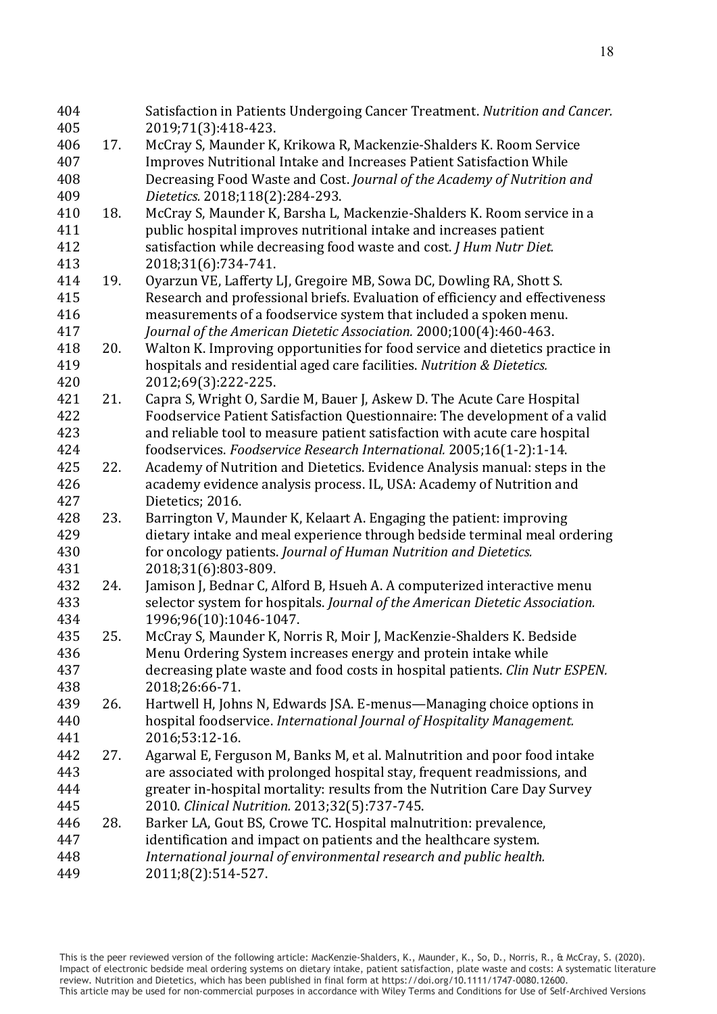| 404 |     | Satisfaction in Patients Undergoing Cancer Treatment. Nutrition and Cancer.  |
|-----|-----|------------------------------------------------------------------------------|
| 405 |     | 2019;71(3):418-423.                                                          |
| 406 | 17. | McCray S, Maunder K, Krikowa R, Mackenzie-Shalders K. Room Service           |
| 407 |     | Improves Nutritional Intake and Increases Patient Satisfaction While         |
| 408 |     | Decreasing Food Waste and Cost. Journal of the Academy of Nutrition and      |
| 409 |     | Dietetics. 2018;118(2):284-293.                                              |
| 410 | 18. | McCray S, Maunder K, Barsha L, Mackenzie-Shalders K. Room service in a       |
| 411 |     | public hospital improves nutritional intake and increases patient            |
| 412 |     | satisfaction while decreasing food waste and cost. J Hum Nutr Diet.          |
| 413 |     | 2018;31(6):734-741.                                                          |
| 414 | 19. | Oyarzun VE, Lafferty LJ, Gregoire MB, Sowa DC, Dowling RA, Shott S.          |
| 415 |     | Research and professional briefs. Evaluation of efficiency and effectiveness |
| 416 |     | measurements of a foodservice system that included a spoken menu.            |
| 417 |     | Journal of the American Dietetic Association. 2000;100(4):460-463.           |
| 418 | 20. | Walton K. Improving opportunities for food service and dietetics practice in |
| 419 |     | hospitals and residential aged care facilities. Nutrition & Dietetics.       |
| 420 |     | 2012;69(3):222-225.                                                          |
| 421 | 21. | Capra S, Wright O, Sardie M, Bauer J, Askew D. The Acute Care Hospital       |
| 422 |     | Foodservice Patient Satisfaction Questionnaire: The development of a valid   |
| 423 |     | and reliable tool to measure patient satisfaction with acute care hospital   |
| 424 |     | foodservices. Foodservice Research International. 2005;16(1-2):1-14.         |
| 425 | 22. | Academy of Nutrition and Dietetics. Evidence Analysis manual: steps in the   |
| 426 |     | academy evidence analysis process. IL, USA: Academy of Nutrition and         |
| 427 |     | Dietetics; 2016.                                                             |
| 428 | 23. | Barrington V, Maunder K, Kelaart A. Engaging the patient: improving          |
| 429 |     | dietary intake and meal experience through bedside terminal meal ordering    |
| 430 |     | for oncology patients. Journal of Human Nutrition and Dietetics.             |
| 431 |     | 2018;31(6):803-809.                                                          |
| 432 | 24. | Jamison J, Bednar C, Alford B, Hsueh A. A computerized interactive menu      |
| 433 |     | selector system for hospitals. Journal of the American Dietetic Association. |
| 434 |     | 1996;96(10):1046-1047.                                                       |
| 435 | 25. | McCray S, Maunder K, Norris R, Moir J, MacKenzie-Shalders K. Bedside         |
| 436 |     | Menu Ordering System increases energy and protein intake while               |
| 437 |     | decreasing plate waste and food costs in hospital patients. Clin Nutr ESPEN. |
| 438 |     | 2018;26:66-71.                                                               |
| 439 | 26. | Hartwell H, Johns N, Edwards JSA. E-menus—Managing choice options in         |
| 440 |     | hospital foodservice. International Journal of Hospitality Management.       |
| 441 |     | 2016;53:12-16.                                                               |
| 442 | 27. | Agarwal E, Ferguson M, Banks M, et al. Malnutrition and poor food intake     |
| 443 |     | are associated with prolonged hospital stay, frequent readmissions, and      |
| 444 |     | greater in-hospital mortality: results from the Nutrition Care Day Survey    |
| 445 |     | 2010. Clinical Nutrition. 2013;32(5):737-745.                                |
| 446 | 28. | Barker LA, Gout BS, Crowe TC. Hospital malnutrition: prevalence,             |
| 447 |     | identification and impact on patients and the healthcare system.             |
| 448 |     | International journal of environmental research and public health.           |
| 449 |     | 2011;8(2):514-527.                                                           |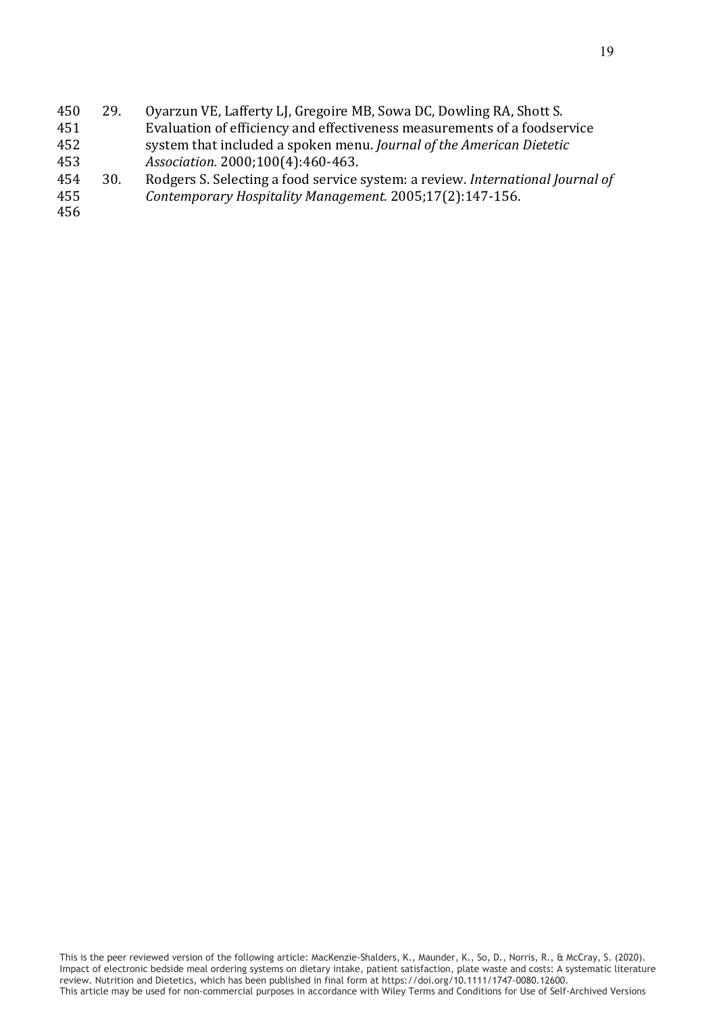| 450 | 29. | Oyarzun VE, Lafferty LJ, Gregoire MB, Sowa DC, Dowling RA, Shott S.            |
|-----|-----|--------------------------------------------------------------------------------|
| 451 |     | Evaluation of efficiency and effectiveness measurements of a foodservice       |
| 452 |     | system that included a spoken menu. Journal of the American Dietetic           |
| 453 |     | Association. 2000;100(4):460-463.                                              |
| 454 | 30. | Rodgers S. Selecting a food service system: a review. International Journal of |
| 455 |     | Contemporary Hospitality Management. 2005;17(2):147-156.                       |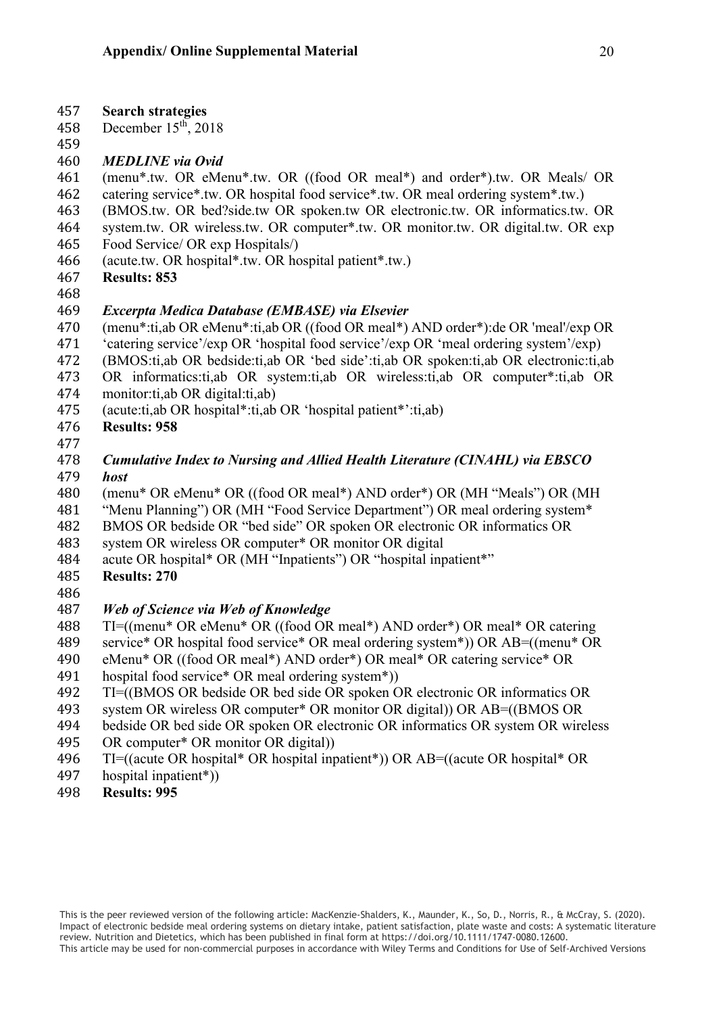- 
- 457 **Search strategies** December  $15<sup>th</sup>$ , 2018
- 459<br>460

# 460 *MEDLINE via Ovid*

461 (menu\*.tw. OR eMenu\*.tw. OR ((food OR meal\*) and order\*).tw. OR Meals/ OR catering service\*.tw. OR hospital food service\*.tw. OR meal ordering system\*.tw.)

- 462 catering service\*.tw. OR hospital food service\*.tw. OR meal ordering system\*.tw.)<br>463 (BMOS.tw. OR bed?side.tw OR spoken.tw OR electronic.tw. OR informatics.tw.
- 463 (BMOS.tw. OR bed?side.tw OR spoken.tw OR electronic.tw. OR informatics.tw. OR system.tw. OR wireless.tw. OR computer\*.tw. OR monitor.tw. OR digital.tw. OR exp
- 464 system.tw. OR wireless.tw. OR computer\*.tw. OR monitor.tw. OR digital.tw. OR exp<br>465 Food Service/ OR exp Hospitals/)
- 465 Food Service/ OR exp Hospitals/)<br>466 (acute.tw. OR hospital\*.tw. OR hospital 466 (acute.tw. OR hospital\*.tw. OR hospital patient\*.tw.)<br>467 Results: 853
- 467 **Results: 853**
- 

# 468<br>469 469 *Excerpta Medica Database (EMBASE) via Elsevier*

- 470 (menu\*:ti,ab OR eMenu\*:ti,ab OR ((food OR meal\*) AND order\*):de OR 'meal'/exp OR<br>471 (catering service '/exp OR 'hospital food service '/exp OR 'meal ordering system'/exp)
- 471 'catering service'/exp OR 'hospital food service'/exp OR 'meal ordering system'/exp)<br>472 (BMOS:ti,ab OR bedside:ti,ab OR 'bed side':ti,ab OR spoken:ti,ab OR electronic:ti,a
- 472 (BMOS:ti,ab OR bedside:ti,ab OR 'bed side':ti,ab OR spoken:ti,ab OR electronic:ti,ab 473 OR informatics:ti,ab OR system:ti,ab OR wireless:ti,ab OR computer\*:ti,ab OR
- 474 monitor: ti, ab OR digital: ti, ab)<br>475 (acute: ti, ab OR hospital\*: ti, ab 475 (acute:ti,ab OR hospital\*:ti,ab OR 'hospital patient\*':ti,ab)<br>476 **Results: 958**
- 476 **Results: 958**
- 477<br>478
- 478 *Cumulative Index to Nursing and Allied Health Literature (CINAHL) via EBSCO*  479 *host*
- 480 (menu\* OR eMenu\* OR ((food OR meal\*) AND order\*) OR (MH "Meals") OR (MH<br>481 ("Menu Planning") OR (MH "Food Service Department") OR meal ordering system\*
- 481 "Menu Planning") OR (MH "Food Service Department") OR meal ordering system\*<br>482 BMOS OR bedside OR "bed side" OR spoken OR electronic OR informatics OR
- 482 BMOS OR bedside OR "bed side" OR spoken OR electronic OR informatics OR<br>483 system OR wireless OR computer\* OR monitor OR digital
- 483 system OR wireless OR computer\* OR monitor OR digital 484 acute OR hospital\* OR (MH "Inpatients") OR "hospital inp
- 484 acute OR hospital\* OR (MH "Inpatients") OR "hospital inpatient\*"<br>485 **Results: 270**
- **Results: 270**
- 486<br>487

# 487 *Web of Science via Web of Knowledge*

- 488 TI=((menu\* OR eMenu\* OR ((food OR meal\*) AND order\*) OR meal\* OR catering<br>489 service\* OR hospital food service\* OR meal ordering system\*)) OR AB=((menu\* OR
- 489 service\* OR hospital food service\* OR meal ordering system\*)) OR AB=((menu\* OR<br>490 eMenu\* OR ((food OR meal\*) AND order\*) OR meal\* OR catering service\* OR
- 490 eMenu\* OR ((food OR meal\*) AND order\*) OR meal\* OR catering service\* OR<br>491 hospital food service\* OR meal ordering system\*))
- 491 hospital food service\* OR meal ordering system\*))<br>492 TI=((BMOS OR bedside OR bed side OR spoken C
- 492 TI=((BMOS OR bedside OR bed side OR spoken OR electronic OR informatics OR<br>493 system OR wireless OR computer\* OR monitor OR digital)) OR AB=((BMOS OR
- 493 system OR wireless OR computer\* OR monitor OR digital)) OR AB=((BMOS OR 494 bedside OR bed side OR spoken OR electronic OR informatics OR system OR wire
- 494 bedside OR bed side OR spoken OR electronic OR informatics OR system OR wireless OR computer\* OR monitor OR digital)
- 495 OR computer\* OR monitor OR digital))<br>496 TI=((acute OR hospital\* OR hospital inn
- 496 TI=((acute OR hospital\* OR hospital inpatient\*)) OR AB=((acute OR hospital\* OR<br>497 hospital inpatient\*))
- 497 hospital inpatient\*))<br>498 **Results: 995**
- 498 **Results: 995**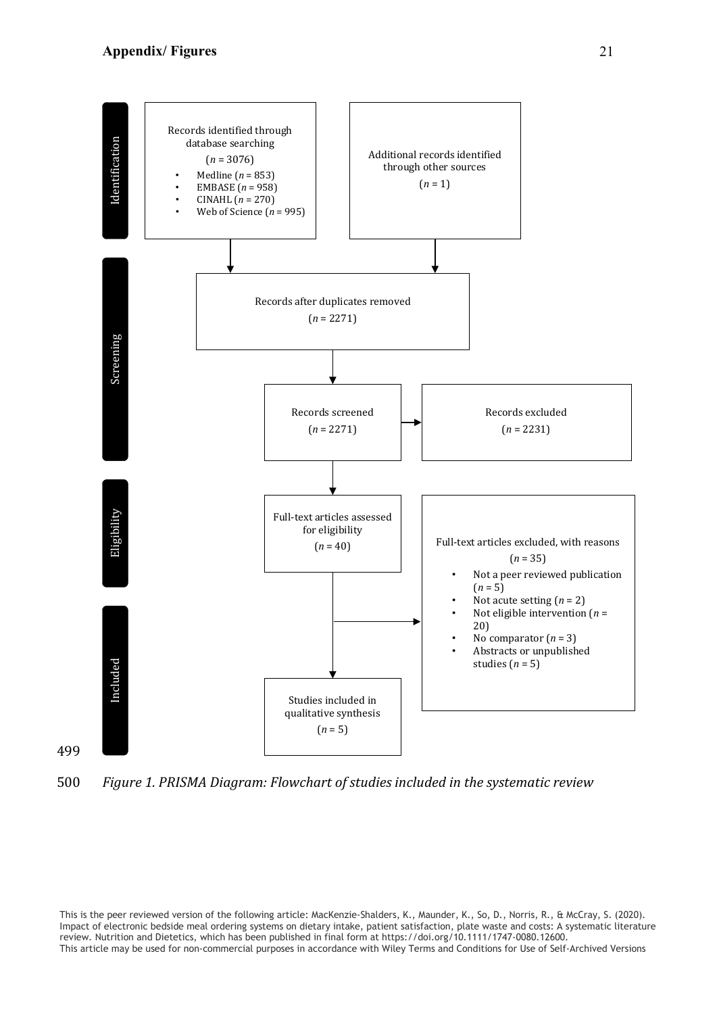# **Appendix/ Figures**

499



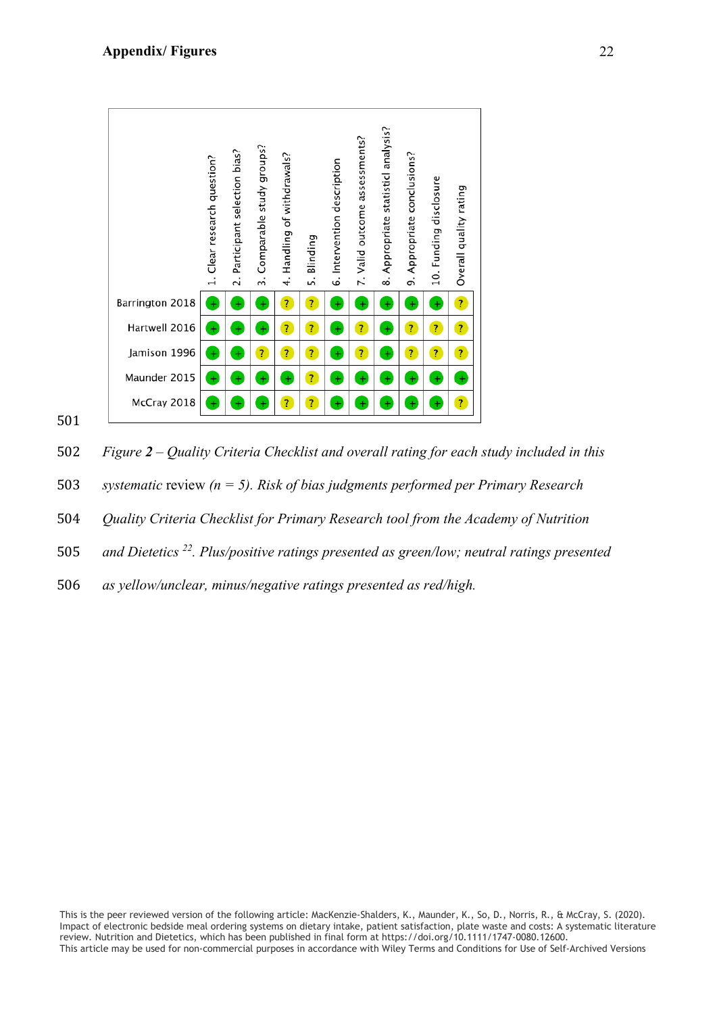|                 | 1. Clear research question? | 2. Participant selection bias? | Comparable study groups?<br>w. | 4. Handling of withdrawals? | Blinding<br>s.          | 6. Intervention description | 7. Valid outcome assessments? | Appropriate statisticl analysis?<br>ထံ | Appropriate conclusions?<br>o, | 10. Funding disclosure | Overall quality rating |
|-----------------|-----------------------------|--------------------------------|--------------------------------|-----------------------------|-------------------------|-----------------------------|-------------------------------|----------------------------------------|--------------------------------|------------------------|------------------------|
| Barrington 2018 | $\ddot{}$                   | $^{+}$                         | $+$                            | $\overline{\mathbf{r}}$     | $\overline{?}$          | $^{+}$                      | $\ddot{}$                     | $\ddot{}$                              | $\ddot{}$                      | $\ddot{}$              | $\overline{?}$         |
| Hartwell 2016   | $\ddot{}$                   | Đ                              | $\ddot{}$                      | $\overline{r}$              | $\overline{?}$          | $^{+}$                      | $\overline{\mathbf{r}}$       | $\ddot{}$                              | $\overline{\mathbf{r}}$        | $\overline{?}$         | $\overline{?}$         |
| Jamison 1996    | $\ddot{}$                   | $^{+}$                         | $\overline{\mathbf{r}}$        | $\overline{?}$              | $\overline{?}$          | $\ddot{}$                   | $\overline{?}$                | $\ddot{}$                              | $\overline{\mathbf{r}}$        | $\overline{?}$         | $\overline{?}$         |
| Maunder 2015    | $+$                         | $^{+}$                         | $+$                            | $^{+}$                      | $\overline{?}$          | $\pm$                       | $\ddot{}$                     | $^{+}$                                 | $\ddot{}$                      | $^{+}$                 | $+$                    |
| McCray 2018     | ÷                           | $\ddot{}$                      | ÷                              | $\overline{?}$              | $\overline{\mathbf{r}}$ | $\ddot{}$                   | $\ddot{}$                     | $\ddot{}$                              | $\ddot{}$                      | $\ddot{}$              | $\overline{?}$         |

502 *Figure 2 – Quality Criteria Checklist and overall rating for each study included in this* 

- 503 *systematic* review *(n = 5). Risk of bias judgments performed per Primary Research*
- 504 *Quality Criteria Checklist for Primary Research tool from the Academy of Nutrition*
- 505 *and Dietetics* <sup>22</sup>. Plus/positive ratings presented as green/low; neutral ratings presented
- 506 *as yellow/unclear, minus/negative ratings presented as red/high.*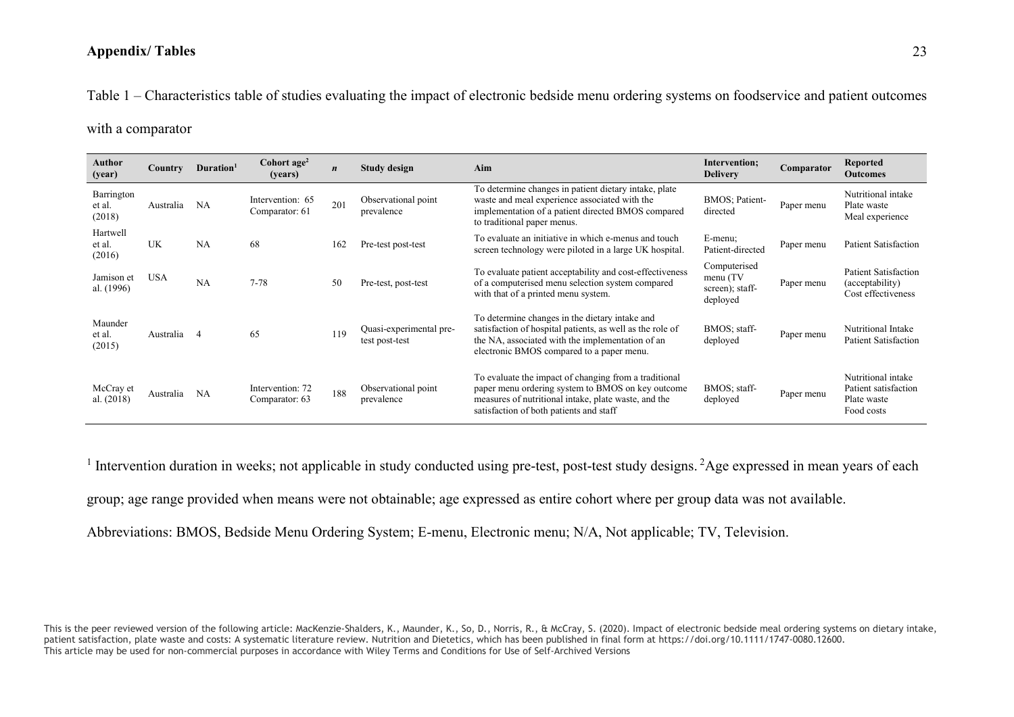# **Appendix/ Tables**

Table 1 – Characteristics table of studies evaluating the impact of electronic bedside menu ordering systems on foodservice and patient outcomes

with a comparator

| Author<br>(year)               | <b>Country</b> | Duration <sup>1</sup> | Cohort $age2$<br>(years)           | $\boldsymbol{n}$ | Aim<br><b>Study design</b>                |                                                                                                                                                                                                               | Intervention;<br><b>Delivery</b>                        | Comparator | <b>Reported</b><br><b>Outcomes</b>                                      |
|--------------------------------|----------------|-----------------------|------------------------------------|------------------|-------------------------------------------|---------------------------------------------------------------------------------------------------------------------------------------------------------------------------------------------------------------|---------------------------------------------------------|------------|-------------------------------------------------------------------------|
| Barrington<br>et al.<br>(2018) | Australia      | NA                    | Intervention: 65<br>Comparator: 61 | 201              | Observational point<br>prevalence         | To determine changes in patient dietary intake, plate<br>waste and meal experience associated with the<br>implementation of a patient directed BMOS compared<br>to traditional paper menus.                   | BMOS; Patient-<br>directed                              | Paper menu | Nutritional intake<br>Plate waste<br>Meal experience                    |
| Hartwell<br>et al.<br>(2016)   | <b>UK</b>      | NA                    | 68                                 | 162              | Pre-test post-test                        | To evaluate an initiative in which e-menus and touch<br>screen technology were piloted in a large UK hospital.                                                                                                | E-menu;<br>Patient-directed                             | Paper menu | <b>Patient Satisfaction</b>                                             |
| Jamison et<br>al. (1996)       | <b>USA</b>     | NA                    | $7 - 78$                           | 50               | Pre-test, post-test                       | To evaluate patient acceptability and cost-effectiveness<br>of a computerised menu selection system compared<br>with that of a printed menu system.                                                           | Computerised<br>menu(TV)<br>screen); staff-<br>deployed | Paper menu | <b>Patient Satisfaction</b><br>(acceptability)<br>Cost effectiveness    |
| Maunder<br>et al.<br>(2015)    | Australia 4    |                       | 65                                 | 119              | Quasi-experimental pre-<br>test post-test | To determine changes in the dietary intake and<br>satisfaction of hospital patients, as well as the role of<br>the NA, associated with the implementation of an<br>electronic BMOS compared to a paper menu.  | BMOS; staff-<br>deployed                                | Paper menu | Nutritional Intake<br><b>Patient Satisfaction</b>                       |
| McCray et<br>al. $(2018)$      | Australia      | NA                    | Intervention: 72<br>Comparator: 63 | 188              | Observational point<br>prevalence         | To evaluate the impact of changing from a traditional<br>paper menu ordering system to BMOS on key outcome<br>measures of nutritional intake, plate waste, and the<br>satisfaction of both patients and staff | BMOS; staff-<br>deployed                                | Paper menu | Nutritional intake<br>Patient satisfaction<br>Plate waste<br>Food costs |

<sup>1</sup> Intervention duration in weeks; not applicable in study conducted using pre-test, post-test study designs. <sup>2</sup>Age expressed in mean years of each

group; age range provided when means were not obtainable; age expressed as entire cohort where per group data was not available.

Abbreviations: BMOS, Bedside Menu Ordering System; E-menu, Electronic menu; N/A, Not applicable; TV, Television.